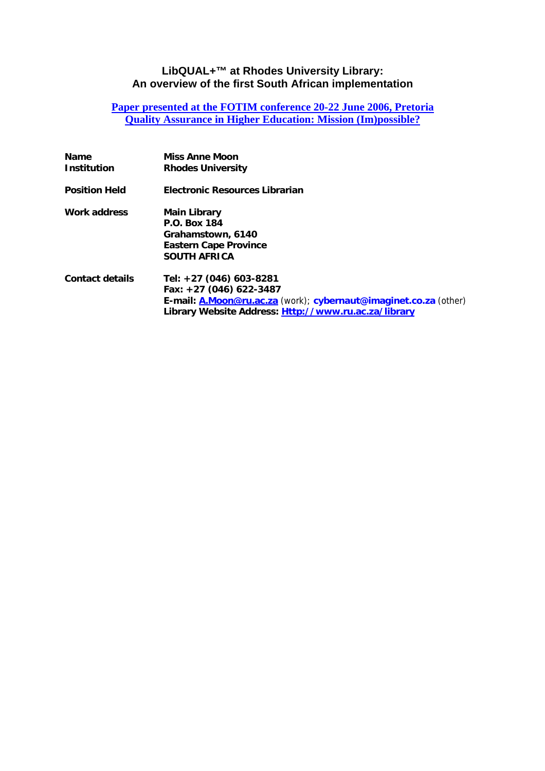#### **LibQUAL+™ at Rhodes University Library: An overview of the first South African implementation**

#### **[Paper presented at the FOTIM conference 20-22 June 2006, Pretoria](http://www.fotim.ac.za/fotim/fotim_conferences/qaconference2006/papers.html) [Quality Assurance in Higher Education: Mission \(Im\)possible?](http://www.fotim.ac.za/fotim/fotim_conferences/qaconference2006/papers.html)**

| Name<br><b>Institution</b> | <b>Miss Anne Moon</b><br><b>Rhodes University</b>                                                                                                                              |
|----------------------------|--------------------------------------------------------------------------------------------------------------------------------------------------------------------------------|
| Position Held              | <b>Electronic Resources Librarian</b>                                                                                                                                          |
| Work address               | <b>Main Library</b><br>P.O. Box 184<br>Grahamstown, 6140<br><b>Eastern Cape Province</b><br><b>SOUTH AFRICA</b>                                                                |
| <b>Contact details</b>     | Tel: +27 (046) 603-8281<br>Fax: +27 (046) 622-3487<br>E-mail: A.Moon@ru.ac.za (work); cybernaut@imaginet.co.za (other)<br>Library Website Address: Http://www.ru.ac.za/library |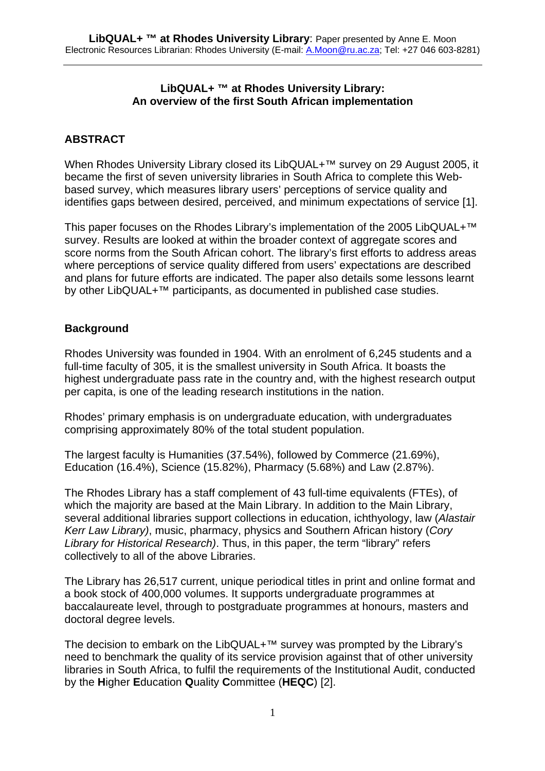#### **LibQUAL+ ™ at Rhodes University Library: An overview of the first South African implementation**

# **ABSTRACT**

When Rhodes University Library closed its LibQUAL+<sup>™</sup> survey on 29 August 2005, it became the first of seven university libraries in South Africa to complete this Webbased survey, which measures library users' perceptions of service quality and identifies gaps between desired, perceived, and minimum expectations of service [1].

This paper focuses on the Rhodes Library's implementation of the 2005 LibQUAL+™ survey. Results are looked at within the broader context of aggregate scores and score norms from the South African cohort. The library's first efforts to address areas where perceptions of service quality differed from users' expectations are described and plans for future efforts are indicated. The paper also details some lessons learnt by other LibQUAL+™ participants, as documented in published case studies.

## **Background**

Rhodes University was founded in 1904. With an enrolment of 6,245 students and a full-time faculty of 305, it is the smallest university in South Africa. It boasts the highest undergraduate pass rate in the country and, with the highest research output per capita, is one of the leading research institutions in the nation.

Rhodes' primary emphasis is on undergraduate education, with undergraduates comprising approximately 80% of the total student population.

The largest faculty is Humanities (37.54%), followed by Commerce (21.69%), Education (16.4%), Science (15.82%), Pharmacy (5.68%) and Law (2.87%).

The Rhodes Library has a staff complement of 43 full-time equivalents (FTEs), of which the majority are based at the Main Library. In addition to the Main Library, several additional libraries support collections in education, ichthyology, law (*Alastair Kerr Law Library)*, music, pharmacy, physics and Southern African history (*Cory Library for Historical Research)*. Thus, in this paper, the term "library" refers collectively to all of the above Libraries.

The Library has 26,517 current, unique periodical titles in print and online format and a book stock of 400,000 volumes. It supports undergraduate programmes at baccalaureate level, through to postgraduate programmes at honours, masters and doctoral degree levels.

The decision to embark on the LibQUAL+™ survey was prompted by the Library's need to benchmark the quality of its service provision against that of other university libraries in South Africa, to fulfil the requirements of the Institutional Audit, conducted by the **H**igher **E**ducation **Q**uality **C**ommittee (**HEQC**) [2].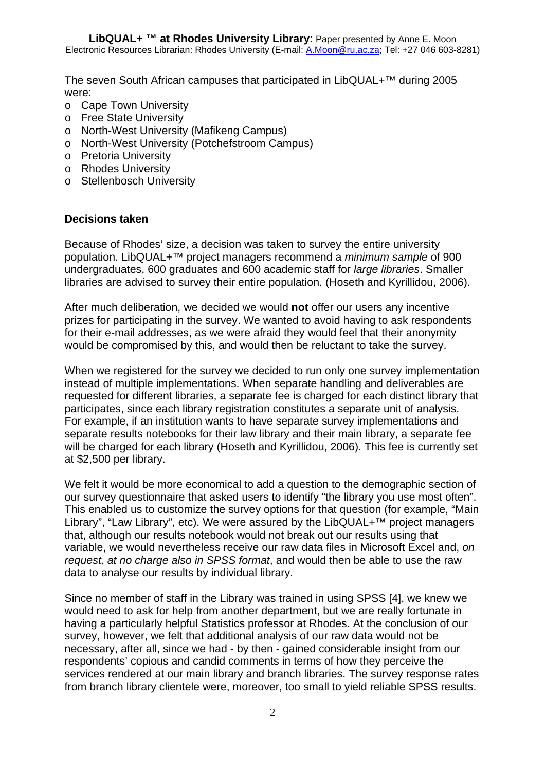The seven South African campuses that participated in LibQUAL+™ during 2005 were:

- o Cape Town University
- o Free State University
- o North-West University (Mafikeng Campus)
- o North-West University (Potchefstroom Campus)
- o Pretoria University
- o Rhodes University
- o Stellenbosch University

#### **Decisions taken**

Because of Rhodes' size, a decision was taken to survey the entire university population. LibQUAL+™ project managers recommend a *minimum sample* of 900 undergraduates, 600 graduates and 600 academic staff for *large libraries*. Smaller libraries are advised to survey their entire population. (Hoseth and Kyrillidou, 2006).

After much deliberation, we decided we would **not** offer our users any incentive prizes for participating in the survey. We wanted to avoid having to ask respondents for their e-mail addresses, as we were afraid they would feel that their anonymity would be compromised by this, and would then be reluctant to take the survey.

When we registered for the survey we decided to run only one survey implementation instead of multiple implementations. When separate handling and deliverables are requested for different libraries, a separate fee is charged for each distinct library that participates, since each library registration constitutes a separate unit of analysis. For example, if an institution wants to have separate survey implementations and separate results notebooks for their law library and their main library, a separate fee will be charged for each library (Hoseth and Kyrillidou, 2006). This fee is currently set at \$2,500 per library.

We felt it would be more economical to add a question to the demographic section of our survey questionnaire that asked users to identify "the library you use most often". This enabled us to customize the survey options for that question (for example, "Main Library", "Law Library", etc). We were assured by the LibQUAL+™ project managers that, although our results notebook would not break out our results using that variable, we would nevertheless receive our raw data files in Microsoft Excel and, *on request, at no charge also in SPSS format*, and would then be able to use the raw data to analyse our results by individual library.

Since no member of staff in the Library was trained in using SPSS [4], we knew we would need to ask for help from another department, but we are really fortunate in having a particularly helpful Statistics professor at Rhodes. At the conclusion of our survey, however, we felt that additional analysis of our raw data would not be necessary, after all, since we had - by then - gained considerable insight from our respondents' copious and candid comments in terms of how they perceive the services rendered at our main library and branch libraries. The survey response rates from branch library clientele were, moreover, too small to yield reliable SPSS results.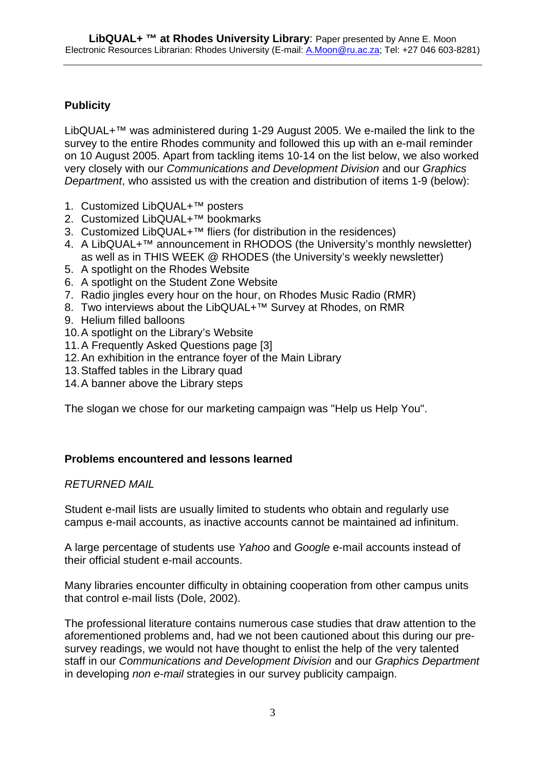# **Publicity**

LibQUAL+™ was administered during 1-29 August 2005. We e-mailed the link to the survey to the entire Rhodes community and followed this up with an e-mail reminder on 10 August 2005. Apart from tackling items 10-14 on the list below, we also worked very closely with our *Communications and Development Division* and our *Graphics Department*, who assisted us with the creation and distribution of items 1-9 (below):

- 1. Customized LibQUAL+™ posters
- 2. Customized LibQUAL+™ bookmarks
- 3. Customized LibQUAL+™ fliers (for distribution in the residences)
- 4. A LibQUAL+<sup>™</sup> announcement in RHODOS (the University's monthly newsletter) as well as in THIS WEEK @ RHODES (the University's weekly newsletter)
- 5. A spotlight on the Rhodes Website
- 6. A spotlight on the Student Zone Website
- 7. Radio jingles every hour on the hour, on Rhodes Music Radio (RMR)
- 8. Two interviews about the LibQUAL+™ Survey at Rhodes, on RMR
- 9. Helium filled balloons
- 10. A spotlight on the Library's Website
- 11. A Frequently Asked Questions page [3]
- 12. An exhibition in the entrance foyer of the Main Library
- 13. Staffed tables in the Library quad
- 14. A banner above the Library steps

The slogan we chose for our marketing campaign was "Help us Help You".

#### **Problems encountered and lessons learned**

#### *RETURNED MAIL*

Student e-mail lists are usually limited to students who obtain and regularly use campus e-mail accounts, as inactive accounts cannot be maintained ad infinitum.

A large percentage of students use *Yahoo* and *Google* e-mail accounts instead of their official student e-mail accounts.

Many libraries encounter difficulty in obtaining cooperation from other campus units that control e-mail lists (Dole, 2002).

The professional literature contains numerous case studies that draw attention to the aforementioned problems and, had we not been cautioned about this during our presurvey readings, we would not have thought to enlist the help of the very talented staff in our *Communications and Development Division* and our *Graphics Department*  in developing *non e-mail* strategies in our survey publicity campaign.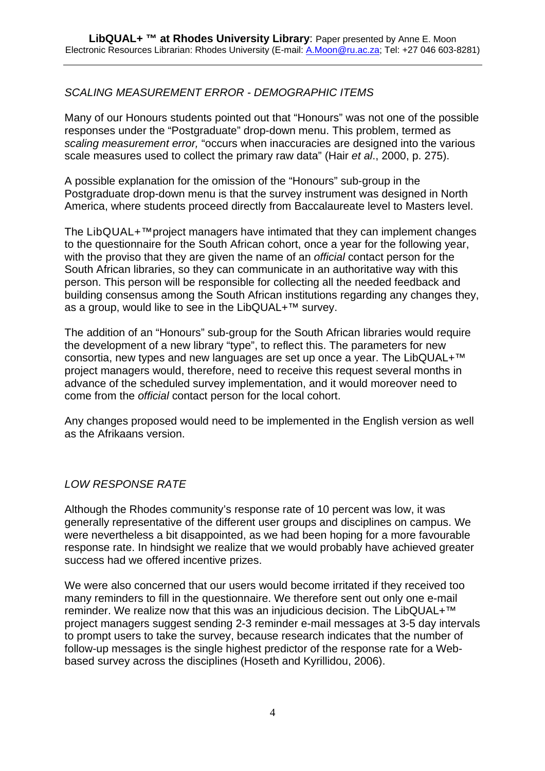## *SCALING MEASUREMENT ERROR - DEMOGRAPHIC ITEMS*

Many of our Honours students pointed out that "Honours" was not one of the possible responses under the "Postgraduate" drop-down menu. This problem, termed as *scaling measurement error,* "occurs when inaccuracies are designed into the various scale measures used to collect the primary raw data" (Hair *et al*., 2000, p. 275).

A possible explanation for the omission of the "Honours" sub-group in the Postgraduate drop-down menu is that the survey instrument was designed in North America, where students proceed directly from Baccalaureate level to Masters level.

The LibQUAL+™project managers have intimated that they can implement changes to the questionnaire for the South African cohort, once a year for the following year, with the proviso that they are given the name of an *official* contact person for the South African libraries, so they can communicate in an authoritative way with this person. This person will be responsible for collecting all the needed feedback and building consensus among the South African institutions regarding any changes they, as a group, would like to see in the LibQUAL+™ survey.

The addition of an "Honours" sub-group for the South African libraries would require the development of a new library "type", to reflect this. The parameters for new consortia, new types and new languages are set up once a year. The LibQUAL+™ project managers would, therefore, need to receive this request several months in advance of the scheduled survey implementation, and it would moreover need to come from the *official* contact person for the local cohort.

Any changes proposed would need to be implemented in the English version as well as the Afrikaans version.

#### *LOW RESPONSE RATE*

Although the Rhodes community's response rate of 10 percent was low, it was generally representative of the different user groups and disciplines on campus. We were nevertheless a bit disappointed, as we had been hoping for a more favourable response rate. In hindsight we realize that we would probably have achieved greater success had we offered incentive prizes.

We were also concerned that our users would become irritated if they received too many reminders to fill in the questionnaire. We therefore sent out only one e-mail reminder. We realize now that this was an injudicious decision. The LibQUAL+<sup>™</sup> project managers suggest sending 2-3 reminder e-mail messages at 3-5 day intervals to prompt users to take the survey, because research indicates that the number of follow-up messages is the single highest predictor of the response rate for a Webbased survey across the disciplines (Hoseth and Kyrillidou, 2006).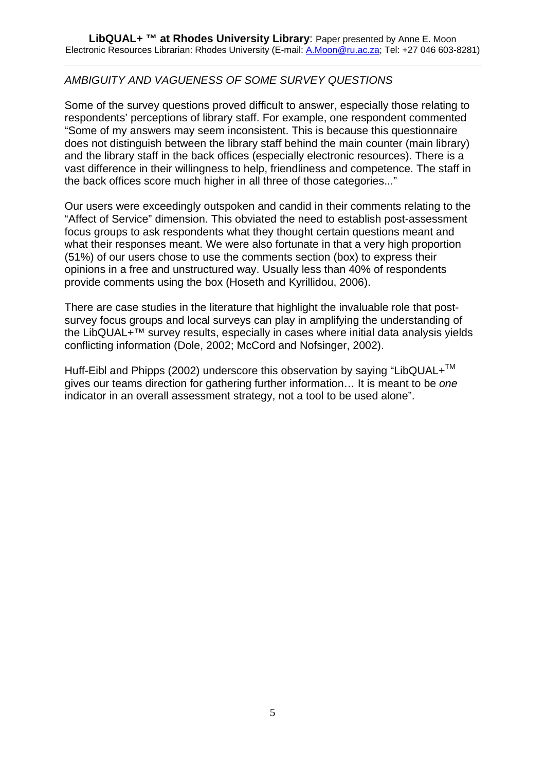## *AMBIGUITY AND VAGUENESS OF SOME SURVEY QUESTIONS*

Some of the survey questions proved difficult to answer, especially those relating to respondents' perceptions of library staff. For example, one respondent commented "Some of my answers may seem inconsistent. This is because this questionnaire does not distinguish between the library staff behind the main counter (main library) and the library staff in the back offices (especially electronic resources). There is a vast difference in their willingness to help, friendliness and competence. The staff in the back offices score much higher in all three of those categories..."

Our users were exceedingly outspoken and candid in their comments relating to the "Affect of Service" dimension. This obviated the need to establish post-assessment focus groups to ask respondents what they thought certain questions meant and what their responses meant. We were also fortunate in that a very high proportion (51%) of our users chose to use the comments section (box) to express their opinions in a free and unstructured way. Usually less than 40% of respondents provide comments using the box (Hoseth and Kyrillidou, 2006).

There are case studies in the literature that highlight the invaluable role that postsurvey focus groups and local surveys can play in amplifying the understanding of the LibQUAL+™ survey results, especially in cases where initial data analysis yields conflicting information (Dole, 2002; McCord and Nofsinger, 2002).

Huff-Eibl and Phipps (2002) underscore this observation by saying "LibQUAL+<sup>™</sup> gives our teams direction for gathering further information… It is meant to be *one* indicator in an overall assessment strategy, not a tool to be used alone".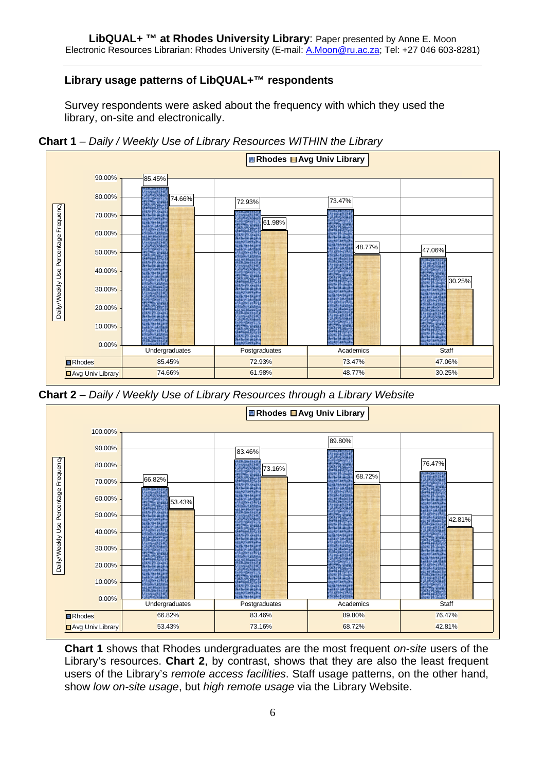# **Library usage patterns of LibQUAL+™ respondents**

Survey respondents were asked about the frequency with which they used the library, on-site and electronically.



**Chart 1** *– Daily / Weekly Use of Library Resources WITHIN the Library*





**Chart 1** shows that Rhodes undergraduates are the most frequent *on-site* users of the Library's resources. **Chart 2**, by contrast, shows that they are also the least frequent users of the Library's *remote access facilities*. Staff usage patterns, on the other hand, show *low on-site usage*, but *high remote usage* via the Library Website.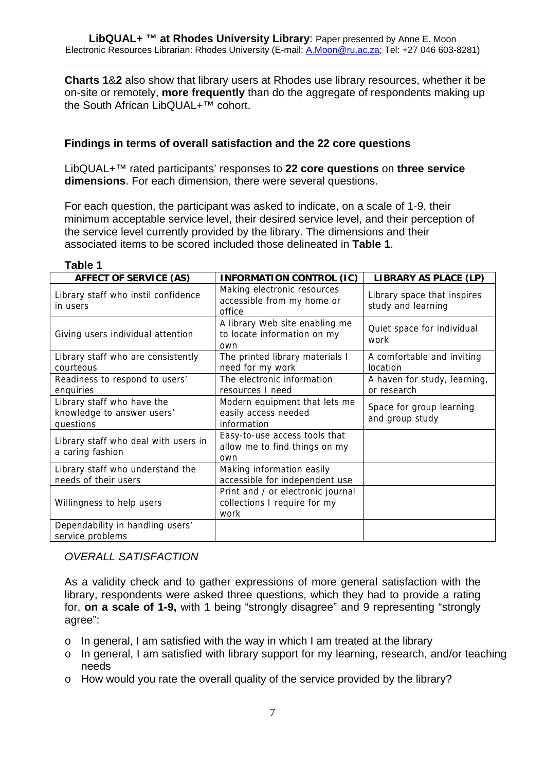**Charts 1**&**2** also show that library users at Rhodes use library resources, whether it be on-site or remotely, **more frequently** than do the aggregate of respondents making up the South African LibQUAL+™ cohort.

#### **Findings in terms of overall satisfaction and the 22 core questions**

LibQUAL+™ rated participants' responses to **22 core questions** on **three service dimensions**. For each dimension, there were several questions.

For each question, the participant was asked to indicate, on a scale of 1-9, their minimum acceptable service level, their desired service level, and their perception of the service level currently provided by the library. The dimensions and their associated items to be scored included those delineated in **Table 1**.

| <b>AFFECT OF SERVICE (AS)</b>                                         | <b>INFORMATION CONTROL (IC)</b>                                           | LIBRARY AS PLACE (LP)                             |
|-----------------------------------------------------------------------|---------------------------------------------------------------------------|---------------------------------------------------|
| Library staff who instil confidence<br>in users                       | Making electronic resources<br>accessible from my home or<br>office       | Library space that inspires<br>study and learning |
| Giving users individual attention                                     | A library Web site enabling me<br>to locate information on my<br>own      | Quiet space for individual<br>work                |
| Library staff who are consistently<br>courteous                       | The printed library materials I<br>need for my work                       | A comfortable and inviting<br>location            |
| Readiness to respond to users'<br>enquiries                           | The electronic information<br>resources I need                            | A haven for study, learning,<br>or research       |
| Library staff who have the<br>knowledge to answer users'<br>questions | Modern equipment that lets me<br>easily access needed<br>information      | Space for group learning<br>and group study       |
| Library staff who deal with users in<br>a caring fashion              | Easy-to-use access tools that<br>allow me to find things on my<br>own     |                                                   |
| Library staff who understand the                                      | Making information easily                                                 |                                                   |
| needs of their users                                                  | accessible for independent use                                            |                                                   |
| Willingness to help users                                             | Print and / or electronic journal<br>collections I require for my<br>work |                                                   |
| Dependability in handling users'<br>service problems                  |                                                                           |                                                   |

#### **Table 1**

#### *OVERALL SATISFACTION*

As a validity check and to gather expressions of more general satisfaction with the library, respondents were asked three questions, which they had to provide a rating for, **on a scale of 1-9,** with 1 being "strongly disagree" and 9 representing "strongly agree":

- o In general, I am satisfied with the way in which I am treated at the library
- o In general, I am satisfied with library support for my learning, research, and/or teaching needs
- o How would you rate the overall quality of the service provided by the library?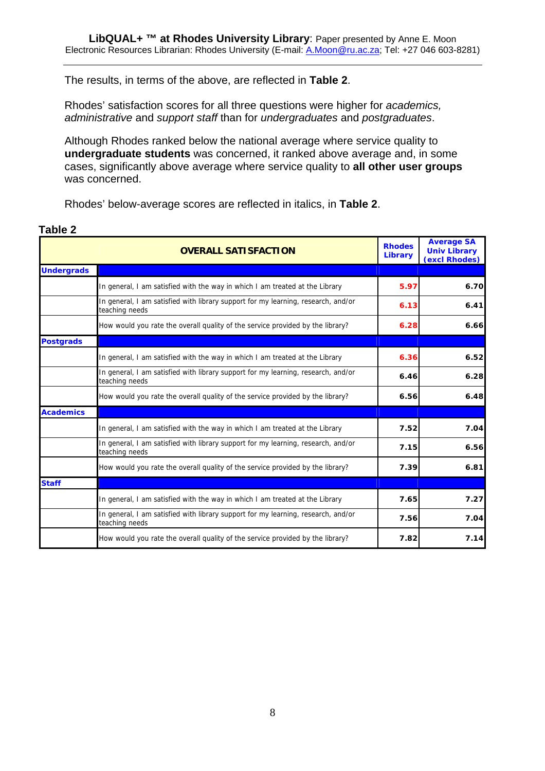The results, in terms of the above, are reflected in **Table 2**.

Rhodes' satisfaction scores for all three questions were higher for *academics, administrative* and *support staff* than for *undergraduates* and *postgraduates*.

Although Rhodes ranked below the national average where service quality to **undergraduate students** was concerned, it ranked above average and, in some cases, significantly above average where service quality to **all other user groups** was concerned.

Rhodes' below-average scores are reflected in italics, in **Table 2**.

|                   | <b>OVERALL SATISFACTION</b>                                                                         | <b>Rhodes</b><br>Library | <b>Average SA</b><br><b>Univ Library</b><br>(excl Rhodes) |
|-------------------|-----------------------------------------------------------------------------------------------------|--------------------------|-----------------------------------------------------------|
| <b>Undergrads</b> |                                                                                                     |                          |                                                           |
|                   | In general, I am satisfied with the way in which I am treated at the Library                        | 5.97                     | 6.70                                                      |
|                   | In general, I am satisfied with library support for my learning, research, and/or<br>teaching needs | 6.13                     | 6.41                                                      |
|                   | How would you rate the overall quality of the service provided by the library?                      | 6.28                     | 6.66                                                      |
| <b>Postgrads</b>  |                                                                                                     |                          |                                                           |
|                   | In general, I am satisfied with the way in which I am treated at the Library                        | 6.36                     | 6.52                                                      |
|                   | In general, I am satisfied with library support for my learning, research, and/or<br>teaching needs | 6.46                     | 6.28                                                      |
|                   | How would you rate the overall quality of the service provided by the library?                      | 6.56                     | 6.48                                                      |
| <b>Academics</b>  |                                                                                                     |                          |                                                           |
|                   | In general, I am satisfied with the way in which I am treated at the Library                        | 7.52                     | 7.04                                                      |
|                   | In general, I am satisfied with library support for my learning, research, and/or<br>teaching needs | 7.15                     | 6.56                                                      |
|                   | How would you rate the overall quality of the service provided by the library?                      | 7.39                     | 6.81                                                      |
| <b>Staff</b>      |                                                                                                     |                          |                                                           |
|                   | In general, I am satisfied with the way in which I am treated at the Library                        | 7.65                     | 7.27                                                      |
|                   | In general, I am satisfied with library support for my learning, research, and/or<br>teaching needs | 7.56                     | 7.04                                                      |
|                   | How would you rate the overall quality of the service provided by the library?                      | 7.82                     | 7.14                                                      |

#### **Table 2**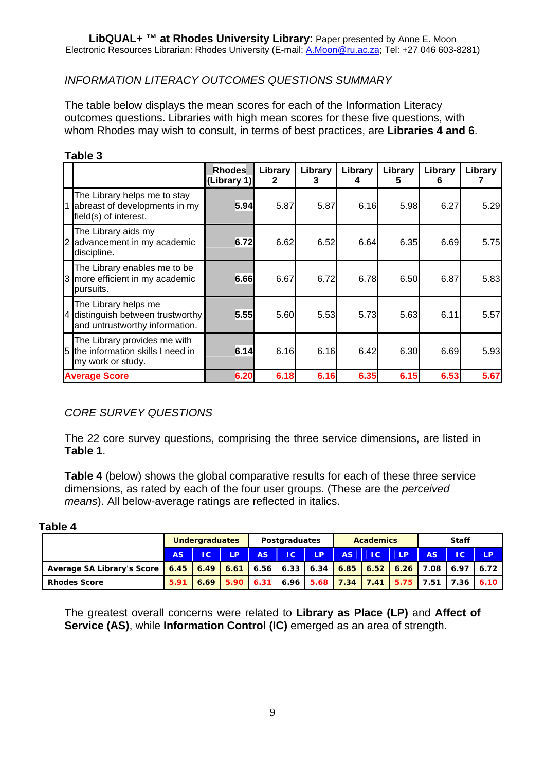# *INFORMATION LITERACY OUTCOMES QUESTIONS SUMMARY*

The table below displays the mean scores for each of the Information Literacy outcomes questions. Libraries with high mean scores for these five questions, with whom Rhodes may wish to consult, in terms of best practices, are **Libraries 4 and 6**.

| Ι<br>I<br>10<br>Ω |  |
|-------------------|--|
|-------------------|--|

|   |                                                                                             | <b>Rhodes</b><br>(Library 1) | Library<br>$\mathbf{2}$ | Library<br>3 | Library<br>4 | Library<br>5 | Library<br>6 | Library |
|---|---------------------------------------------------------------------------------------------|------------------------------|-------------------------|--------------|--------------|--------------|--------------|---------|
| 1 | The Library helps me to stay<br>abreast of developments in my<br>field(s) of interest.      | 5.94                         | 5.87                    | 5.87         | 6.16         | 5.98         | 6.27         | 5.29    |
| 2 | The Library aids my<br>advancement in my academic<br>discipline.                            | 6.72                         | 6.62                    | 6.52         | 6.64         | 6.35         | 6.69         | 5.75    |
|   | The Library enables me to be<br>3 more efficient in my academic<br>pursuits.                | 6.66                         | 6.67                    | 6.72         | 6.78         | 6.50         | 6.87         | 5.83    |
|   | The Library helps me<br>4 distinguish between trustworthy<br>and untrustworthy information. | 5.55                         | 5.60                    | 5.53         | 5.73         | 5.63         | 6.11         | 5.57    |
|   | The Library provides me with<br>5 the information skills I need in<br>my work or study.     | 6.14                         | 6.16                    | 6.16         | 6.42         | 6.30         | 6.69         | 5.93    |
|   | <b>Average Score</b>                                                                        | 6.20                         | 6.18                    | 6.16         | 6.35         | 6.15         | 6.53         | 5.67    |

## *CORE SURVEY QUESTIONS*

The 22 core survey questions, comprising the three service dimensions, are listed in **Table 1**.

**Table 4** (below) shows the global comparative results for each of these three service dimensions, as rated by each of the four user groups. (These are the *perceived means*). All below-average ratings are reflected in italics.

| <b>Table</b> |  |  |
|--------------|--|--|
|--------------|--|--|

|                                                                                                                | <b>Undergraduates</b> |    | <b>Postgraduates</b> |     |    | <b>Academics</b> |      |    | <b>Staff</b> |                 |                                                                                         |              |
|----------------------------------------------------------------------------------------------------------------|-----------------------|----|----------------------|-----|----|------------------|------|----|--------------|-----------------|-----------------------------------------------------------------------------------------|--------------|
|                                                                                                                | AS.                   | IC | LP.                  | AS. | IC | LP.              | AS . | IC | <b>LP</b>    | AS <sup>1</sup> | IC                                                                                      | <b>LP</b>    |
| Average SA Library's Score   6.45   6.49   6.61   6.56   6.33   6.34   6.85   6.52   6.26   7.08   6.97   6.72 |                       |    |                      |     |    |                  |      |    |              |                 |                                                                                         |              |
| <b>Rhodes Score</b>                                                                                            |                       |    |                      |     |    |                  |      |    |              |                 | $\overline{5.91}$   6.69   5.90   6.31   6.96   5.68   7.34   7.41   5.75   7.51   7.36 | 6.10 $\vert$ |

The greatest overall concerns were related to **Library as Place (LP)** and **Affect of Service (AS)**, while **Information Control (IC)** emerged as an area of strength.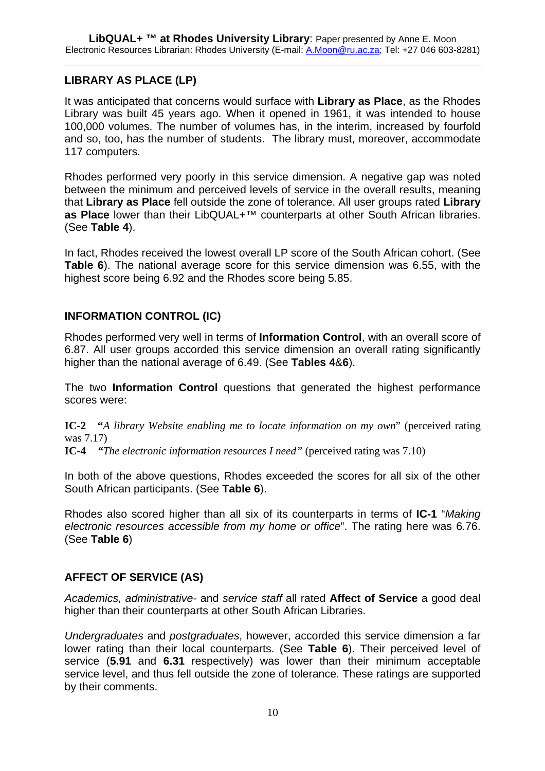# **LIBRARY AS PLACE (LP)**

It was anticipated that concerns would surface with **Library as Place**, as the Rhodes Library was built 45 years ago. When it opened in 1961, it was intended to house 100,000 volumes. The number of volumes has, in the interim, increased by fourfold and so, too, has the number of students. The library must, moreover, accommodate 117 computers.

Rhodes performed very poorly in this service dimension. A negative gap was noted between the minimum and perceived levels of service in the overall results, meaning that **Library as Place** fell outside the zone of tolerance. All user groups rated **Library as Place** lower than their LibQUAL+™ counterparts at other South African libraries. (See **Table 4**).

In fact, Rhodes received the lowest overall LP score of the South African cohort. (See **Table 6**). The national average score for this service dimension was 6.55, with the highest score being 6.92 and the Rhodes score being 5.85.

## **INFORMATION CONTROL (IC)**

Rhodes performed very well in terms of **Information Control**, with an overall score of 6.87. All user groups accorded this service dimension an overall rating significantly higher than the national average of 6.49. (See **Tables 4**&**6**).

The two **Information Control** questions that generated the highest performance scores were:

**IC-2 "***A library Website enabling me to locate information on my own*" (perceived rating was 7.17)

**IC-4** *"The electronic information resources I need"* (perceived rating was 7.10)

In both of the above questions, Rhodes exceeded the scores for all six of the other South African participants. (See **Table 6**).

Rhodes also scored higher than all six of its counterparts in terms of **IC-1** "*Making electronic resources accessible from my home or office*". The rating here was 6.76. (See **Table 6**)

## **AFFECT OF SERVICE (AS)**

*Academics, administrative-* and *service staff* all rated **Affect of Service** a good deal higher than their counterparts at other South African Libraries.

*Undergraduates* and *postgraduates*, however, accorded this service dimension a far lower rating than their local counterparts. (See **Table 6**). Their perceived level of service (**5.91** and **6.31** respectively) was lower than their minimum acceptable service level, and thus fell outside the zone of tolerance. These ratings are supported by their comments.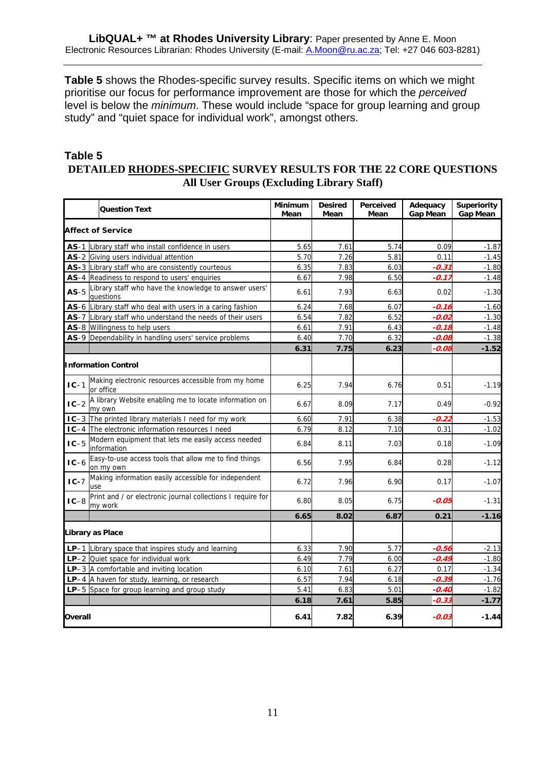**Table 5** shows the Rhodes-specific survey results. Specific items on which we might prioritise our focus for performance improvement are those for which the *perceived*  level is below the *minimum*. These would include "space for group learning and group study" and "quiet space for individual work", amongst others.

## **Table 5 DETAILED RHODES-SPECIFIC SURVEY RESULTS FOR THE 22 CORE QUESTIONS All User Groups (Excluding Library Staff)**

|         | <b>Question Text</b>                                                   | <b>Minimum</b><br>Mean | <b>Desired</b><br>Mean | Perceived<br>Mean | Adequacy<br><b>Gap Mean</b> | <b>Superiority</b><br><b>Gap Mean</b> |
|---------|------------------------------------------------------------------------|------------------------|------------------------|-------------------|-----------------------------|---------------------------------------|
|         | <b>Affect of Service</b>                                               |                        |                        |                   |                             |                                       |
| $AS-1$  | Library staff who install confidence in users                          | 5.65                   | 7.61                   | 5.74              | 0.09                        | $-1.87$                               |
|         | AS-2 Giving users individual attention                                 | 5.70                   | 7.26                   | 5.81              | 0.11                        | $-1.45$                               |
|         | AS-3 Library staff who are consistently courteous                      | 6.35                   | 7.83                   | 6.03              | $-0.31$                     | $-1.80$                               |
| $AS-4$  | Readiness to respond to users' enquiries                               | 6.67                   | 7.98                   | 6.50              | $-0.17$                     | $-1.48$                               |
| $AS-5$  | Library staff who have the knowledge to answer users'<br>questions     | 6.61                   | 7.93                   | 6.63              | 0.02                        | $-1.30$                               |
|         | AS-6 Library staff who deal with users in a caring fashion             | 6.24                   | 7.68                   | 6.07              | $-0.16$                     | $-1.60$                               |
|         | AS-7 Library staff who understand the needs of their users             | 6.54                   | 7.82                   | 6.52              | $-0.02$                     | $-1.30$                               |
|         | AS-8 Willingness to help users                                         | 6.61                   | 7.91                   | 6.43              | -0.18                       | $-1.48$                               |
|         | AS-9 Dependability in handling users' service problems                 | 6.40                   | 7.70                   | 6.32              | -0.08                       | $-1.38$                               |
|         |                                                                        | 6.31                   | 7.75                   | 6.23              | -0.08                       | $-1.52$                               |
|         | <b>Information Control</b>                                             |                        |                        |                   |                             |                                       |
| $IC-1$  | Making electronic resources accessible from my home<br>or office       | 6.25                   | 7.94                   | 6.76              | 0.51                        | $-1.19$                               |
| $IC-2$  | A library Website enabling me to locate information on<br>my own       | 6.67                   | 8.09                   | 7.17              | 0.49                        | $-0.92$                               |
|         | IC-3 The printed library materials I need for my work                  | 6.60                   | 7.91                   | 6.38              | -0.22                       | $-1.53$                               |
| $IC-4$  | The electronic information resources I need                            | 6.79                   | 8.12                   | 7.10              | 0.31                        | $-1.02$                               |
| $IC-5$  | Modern equipment that lets me easily access needed<br>information      | 6.84                   | 8.11                   | 7.03              | 0.18                        | $-1.09$                               |
| $IC-6$  | Easy-to-use access tools that allow me to find things<br>on my own     | 6.56                   | 7.95                   | 6.84              | 0.28                        | $-1.12$                               |
| $IC-7$  | Making information easily accessible for independent<br>use            | 6.72                   | 7.96                   | 6.90              | 0.17                        | $-1.07$                               |
| $IC-8$  | Print and / or electronic journal collections I require for<br>my work | 6.80                   | 8.05                   | 6.75              | $-0.05$                     | $-1.31$                               |
|         |                                                                        | 6.65                   | 8.02                   | 6.87              | 0.21                        | $-1.16$                               |
|         | Library as Place                                                       |                        |                        |                   |                             |                                       |
|         | LP-1 Library space that inspires study and learning                    | 6.33                   | 7.90                   | 5.77              | $-0.56$                     | $-2.13$                               |
|         | $LP-2$ Quiet space for individual work                                 | 6.49                   | 7.79                   | 6.00              | -0.49                       | $-1.80$                               |
|         | $LP-3$ A comfortable and inviting location                             | 6.10                   | 7.61                   | 6.27              | 0.17                        | $-1.34$                               |
|         | LP-4 A haven for study, learning, or research                          | 6.57                   | 7.94                   | 6.18              | $-0.39$                     | $-1.76$                               |
|         | LP-5 Space for group learning and group study                          | 5.41                   | 6.83                   | 5.01              | -0.40                       | $-1.82$                               |
|         |                                                                        | 6.18                   | 7.61                   | 5.85              | -0.33                       | $-1.77$                               |
| Overall |                                                                        | 6.41                   | 7.82                   | 6.39              | $-0.03$                     | $-1.44$                               |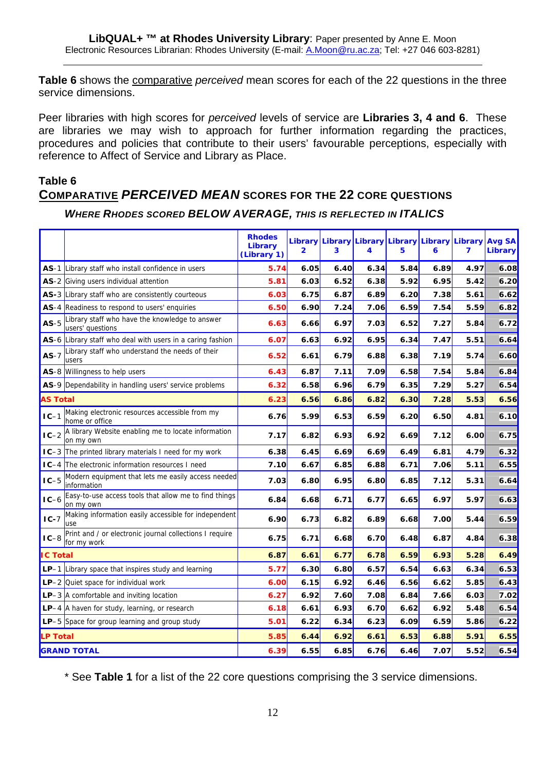**Table 6** shows the comparative *perceived* mean scores for each of the 22 questions in the three service dimensions.

Peer libraries with high scores for *perceived* levels of service are **Libraries 3, 4 and 6**. These are libraries we may wish to approach for further information regarding the practices, procedures and policies that contribute to their users' favourable perceptions, especially with reference to Affect of Service and Library as Place.

# **Table 6 COMPARATIVE** *PERCEIVED MEAN* **SCORES FOR THE 22 CORE QUESTIONS**

#### *WHERE RHODES SCORED BELOW AVERAGE, THIS IS REFLECTED IN ITALICS*

|                 |                                                                          | <b>Rhodes</b><br><b>Library</b><br>(Library 1) | 2    | Library Library Library Library<br>3 | 4    | 5    | Library Library<br>6 | 7    | <b>Avg SA</b><br>Library |
|-----------------|--------------------------------------------------------------------------|------------------------------------------------|------|--------------------------------------|------|------|----------------------|------|--------------------------|
| AS-1            | Library staff who install confidence in users                            | 5.74                                           | 6.05 | 6.40                                 | 6.34 | 5.84 | 6.89                 | 4.97 | 6.08                     |
|                 | AS-2 Giving users individual attention                                   | 5.81                                           | 6.03 | 6.52                                 | 6.38 | 5.92 | 6.95                 | 5.42 | 6.20                     |
|                 | AS-3 Library staff who are consistently courteous                        | 6.03                                           | 6.75 | 6.87                                 | 6.89 | 6.20 | 7.38                 | 5.61 | 6.62                     |
|                 | AS-4 Readiness to respond to users' enquiries                            | 6.50                                           | 6.90 | 7.24                                 | 7.06 | 6.59 | 7.54                 | 5.59 | 6.82                     |
| $AS-5$          | Library staff who have the knowledge to answer<br>users' questions       | 6.63                                           | 6.66 | 6.97                                 | 7.03 | 6.52 | 7.27                 | 5.84 | 6.72                     |
|                 | AS-6 Library staff who deal with users in a caring fashion               | 6.07                                           | 6.63 | 6.92                                 | 6.95 | 6.34 | 7.47                 | 5.51 | 6.64                     |
| $AS-7$          | Library staff who understand the needs of their<br><b>users</b>          | 6.52                                           | 6.61 | 6.79                                 | 6.88 | 6.38 | 7.19                 | 5.74 | 6.60                     |
|                 | AS-8 Willingness to help users                                           | 6.43                                           | 6.87 | 7.11                                 | 7.09 | 6.58 | 7.54                 | 5.84 | 6.84                     |
|                 | AS-9 Dependability in handling users' service problems                   | 6.32                                           | 6.58 | 6.96                                 | 6.79 | 6.35 | 7.29                 | 5.27 | 6.54                     |
| <b>AS Total</b> |                                                                          | 6.23                                           | 6.56 | 6.86                                 | 6.82 | 6.30 | 7.28                 | 5.53 | 6.56                     |
| $IC-1$          | Making electronic resources accessible from my<br>home or office         | 6.76                                           | 5.99 | 6.53                                 | 6.59 | 6.20 | 6.50                 | 4.81 | 6.10                     |
| $IC-2$          | A library Website enabling me to locate information<br>on my own         | 7.17                                           | 6.82 | 6.93                                 | 6.92 | 6.69 | 7.12                 | 6.00 | 6.75                     |
|                 | IC-3 The printed library materials I need for my work                    | 6.38                                           | 6.45 | 6.69                                 | 6.69 | 6.49 | 6.81                 | 4.79 | 6.32                     |
|                 | <b>IC-4</b> The electronic information resources I need                  | 7.10                                           | 6.67 | 6.85                                 | 6.88 | 6.71 | 7.06                 | 5.11 | 6.55                     |
| $IC-5$          | Modern equipment that lets me easily access needed<br><i>Information</i> | 7.03                                           | 6.80 | 6.95                                 | 6.80 | 6.85 | 7.12                 | 5.31 | 6.64                     |
| $IC-6$          | Easy-to-use access tools that allow me to find things<br>on my own       | 6.84                                           | 6.68 | 6.71                                 | 6.77 | 6.65 | 6.97                 | 5.97 | 6.63                     |
| $IC-7$          | Making information easily accessible for independent<br><b>use</b>       | 6.90                                           | 6.73 | 6.82                                 | 6.89 | 6.68 | 7.00                 | 5.44 | 6.59                     |
| $IC-8$          | Print and / or electronic journal collections I require<br>for my work   | 6.75                                           | 6.71 | 6.68                                 | 6.70 | 6.48 | 6.87                 | 4.84 | 6.38                     |
| <b>IC Total</b> |                                                                          | 6.87                                           | 6.61 | 6.77                                 | 6.78 | 6.59 | 6.93                 | 5.28 | 6.49                     |
|                 | LP-1 Library space that inspires study and learning                      | 5.77                                           | 6.30 | 6.80                                 | 6.57 | 6.54 | 6.63                 | 6.34 | 6.53                     |
|                 | LP-2 Quiet space for individual work                                     | 6.00                                           | 6.15 | 6.92                                 | 6.46 | 6.56 | 6.62                 | 5.85 | 6.43                     |
|                 | $LP-3$ A comfortable and inviting location                               | 6.27                                           | 6.92 | 7.60                                 | 7.08 | 6.84 | 7.66                 | 6.03 | 7.02                     |
|                 | LP-4 A haven for study, learning, or research                            | 6.18                                           | 6.61 | 6.93                                 | 6.70 | 6.62 | 6.92                 | 5.48 | 6.54                     |
|                 | LP-5 Space for group learning and group study                            | 5.01                                           | 6.22 | 6.34                                 | 6.23 | 6.09 | 6.59                 | 5.86 | 6.22                     |
| <b>P</b> Total  |                                                                          | 5.85                                           | 6.44 | 6.92                                 | 6.61 | 6.53 | 6.88                 | 5.91 | 6.55                     |
|                 | <b>GRAND TOTAL</b>                                                       | 6.39                                           | 6.55 | 6.85                                 | 6.76 | 6.46 | 7.07                 | 5.52 | 6.54                     |

\* See **Table 1** for a list of the 22 core questions comprising the 3 service dimensions.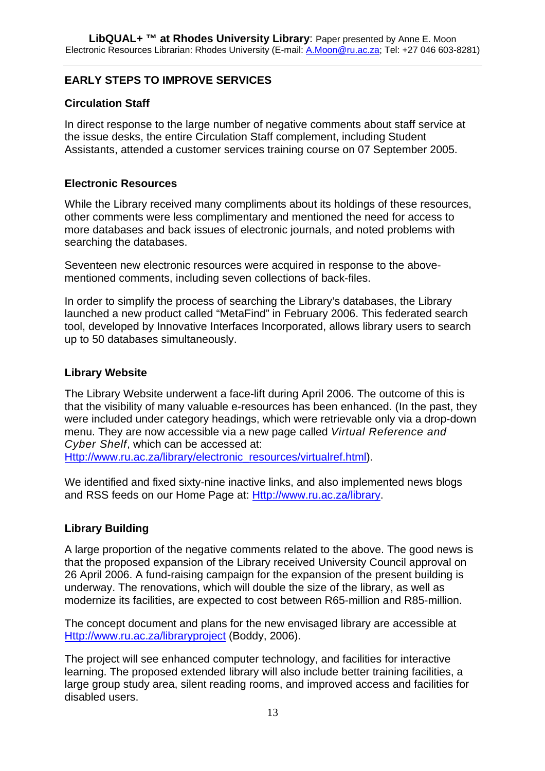# **EARLY STEPS TO IMPROVE SERVICES**

# **Circulation Staff**

In direct response to the large number of negative comments about staff service at the issue desks, the entire Circulation Staff complement, including Student Assistants, attended a customer services training course on 07 September 2005.

## **Electronic Resources**

While the Library received many compliments about its holdings of these resources, other comments were less complimentary and mentioned the need for access to more databases and back issues of electronic journals, and noted problems with searching the databases.

Seventeen new electronic resources were acquired in response to the abovementioned comments, including seven collections of back-files.

In order to simplify the process of searching the Library's databases, the Library launched a new product called "MetaFind" in February 2006. This federated search tool, developed by Innovative Interfaces Incorporated, allows library users to search up to 50 databases simultaneously.

## **Library Website**

The Library Website underwent a face-lift during April 2006. The outcome of this is that the visibility of many valuable e-resources has been enhanced. (In the past, they were included under category headings, which were retrievable only via a drop-down menu. They are now accessible via a new page called *Virtual Reference and Cyber Shelf*, which can be accessed at: [Http://www.ru.ac.za/library/electronic\\_resources/virtualref.html\)](http://www.ru.ac.za/library/electronic_resources/virtualref.html).

We identified and fixed sixty-nine inactive links, and also implemented news blogs and RSS feeds on our Home Page at: [Http://www.ru.ac.za/library](http://www.ru.ac.za/library).

## **Library Building**

A large proportion of the negative comments related to the above. The good news is that the proposed expansion of the Library received University Council approval on 26 April 2006. A fund-raising campaign for the expansion of the present building is underway. The renovations, which will double the size of the library, as well as modernize its facilities, are expected to cost between R65-million and R85-million.

The concept document and plans for the new envisaged library are accessible at [Http://www.ru.ac.za/libraryproject](http://www.ru.ac.za/libraryproject) (Boddy, 2006).

The project will see enhanced computer technology, and facilities for interactive learning. The proposed extended library will also include better training facilities, a large group study area, silent reading rooms, and improved access and facilities for disabled users.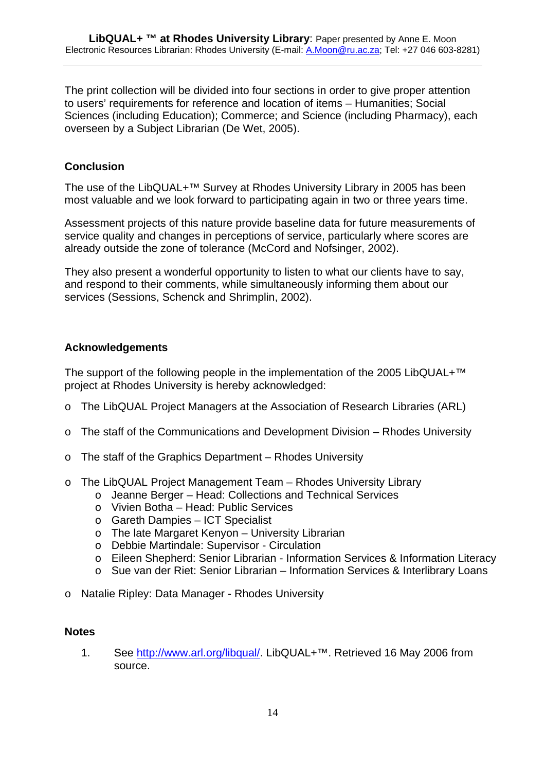The print collection will be divided into four sections in order to give proper attention to users' requirements for reference and location of items – Humanities; Social Sciences (including Education); Commerce; and Science (including Pharmacy), each overseen by a Subject Librarian (De Wet, 2005).

# **Conclusion**

The use of the LibQUAL+™ Survey at Rhodes University Library in 2005 has been most valuable and we look forward to participating again in two or three years time.

Assessment projects of this nature provide baseline data for future measurements of service quality and changes in perceptions of service, particularly where scores are already outside the zone of tolerance (McCord and Nofsinger, 2002).

They also present a wonderful opportunity to listen to what our clients have to say, and respond to their comments, while simultaneously informing them about our services (Sessions, Schenck and Shrimplin, 2002).

## **Acknowledgements**

The support of the following people in the implementation of the 2005 LibQUAL+™ project at Rhodes University is hereby acknowledged:

- o The LibQUAL Project Managers at the Association of Research Libraries (ARL)
- $\circ$  The staff of the Communications and Development Division Rhodes University
- o The staff of the Graphics Department Rhodes University
- o The LibQUAL Project Management Team Rhodes University Library
	- o Jeanne Berger Head: Collections and Technical Services
		- o Vivien Botha Head: Public Services
		- o Gareth Dampies ICT Specialist
		- o The late Margaret Kenyon University Librarian
		- o Debbie Martindale: Supervisor Circulation
		- o Eileen Shepherd: Senior Librarian Information Services & Information Literacy
		- o Sue van der Riet: Senior Librarian Information Services & Interlibrary Loans
- o Natalie Ripley: Data Manager Rhodes University

#### **Notes**

1. See [http://www.arl.org/libqual/.](http://www.arl.org/libqual/) LibQUAL+<sup>™</sup>. Retrieved 16 May 2006 from source.